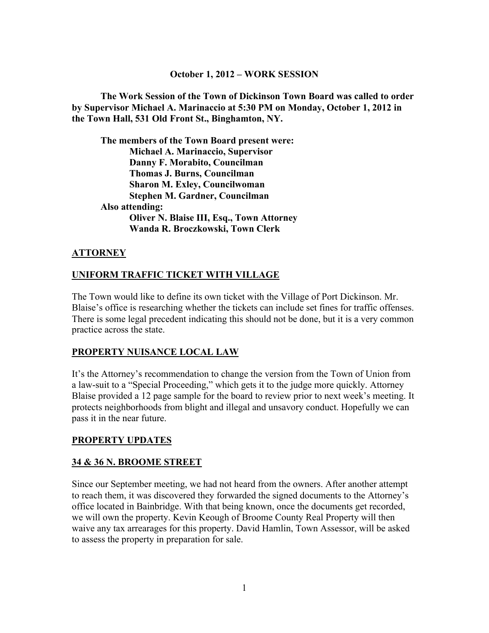#### **October 1, 2012 – WORK SESSION**

**The Work Session of the Town of Dickinson Town Board was called to order by Supervisor Michael A. Marinaccio at 5:30 PM on Monday, October 1, 2012 in the Town Hall, 531 Old Front St., Binghamton, NY.**

**The members of the Town Board present were: Michael A. Marinaccio, Supervisor Danny F. Morabito, Councilman Thomas J. Burns, Councilman Sharon M. Exley, Councilwoman Stephen M. Gardner, Councilman Also attending: Oliver N. Blaise III, Esq., Town Attorney Wanda R. Broczkowski, Town Clerk**

#### **ATTORNEY**

#### **UNIFORM TRAFFIC TICKET WITH VILLAGE**

The Town would like to define its own ticket with the Village of Port Dickinson. Mr. Blaise's office is researching whether the tickets can include set fines for traffic offenses. There is some legal precedent indicating this should not be done, but it is a very common practice across the state.

#### **PROPERTY NUISANCE LOCAL LAW**

It's the Attorney's recommendation to change the version from the Town of Union from a law-suit to a "Special Proceeding," which gets it to the judge more quickly. Attorney Blaise provided a 12 page sample for the board to review prior to next week's meeting. It protects neighborhoods from blight and illegal and unsavory conduct. Hopefully we can pass it in the near future.

#### **PROPERTY UPDATES**

#### **34 & 36 N. BROOME STREET**

Since our September meeting, we had not heard from the owners. After another attempt to reach them, it was discovered they forwarded the signed documents to the Attorney's office located in Bainbridge. With that being known, once the documents get recorded, we will own the property. Kevin Keough of Broome County Real Property will then waive any tax arrearages for this property. David Hamlin, Town Assessor, will be asked to assess the property in preparation for sale.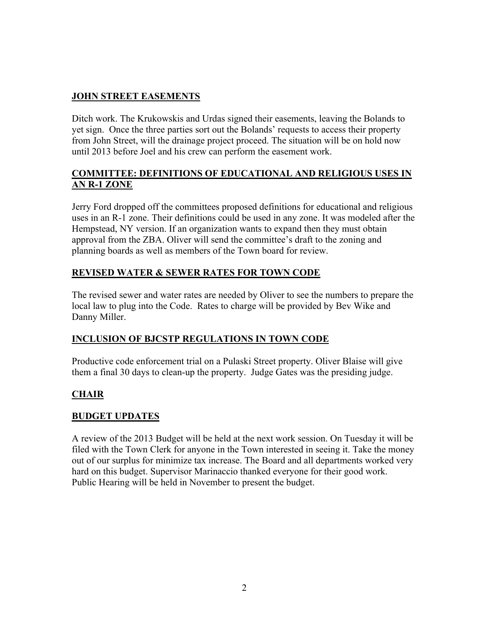# **JOHN STREET EASEMENTS**

Ditch work. The Krukowskis and Urdas signed their easements, leaving the Bolands to yet sign. Once the three parties sort out the Bolands' requests to access their property from John Street, will the drainage project proceed. The situation will be on hold now until 2013 before Joel and his crew can perform the easement work.

### **COMMITTEE: DEFINITIONS OF EDUCATIONAL AND RELIGIOUS USES IN AN R-1 ZONE**

Jerry Ford dropped off the committees proposed definitions for educational and religious uses in an R-1 zone. Their definitions could be used in any zone. It was modeled after the Hempstead, NY version. If an organization wants to expand then they must obtain approval from the ZBA. Oliver will send the committee's draft to the zoning and planning boards as well as members of the Town board for review.

# **REVISED WATER & SEWER RATES FOR TOWN CODE**

The revised sewer and water rates are needed by Oliver to see the numbers to prepare the local law to plug into the Code. Rates to charge will be provided by Bev Wike and Danny Miller.

# **INCLUSION OF BJCSTP REGULATIONS IN TOWN CODE**

Productive code enforcement trial on a Pulaski Street property. Oliver Blaise will give them a final 30 days to clean-up the property. Judge Gates was the presiding judge.

# **CHAIR**

# **BUDGET UPDATES**

A review of the 2013 Budget will be held at the next work session. On Tuesday it will be filed with the Town Clerk for anyone in the Town interested in seeing it. Take the money out of our surplus for minimize tax increase. The Board and all departments worked very hard on this budget. Supervisor Marinaccio thanked everyone for their good work. Public Hearing will be held in November to present the budget.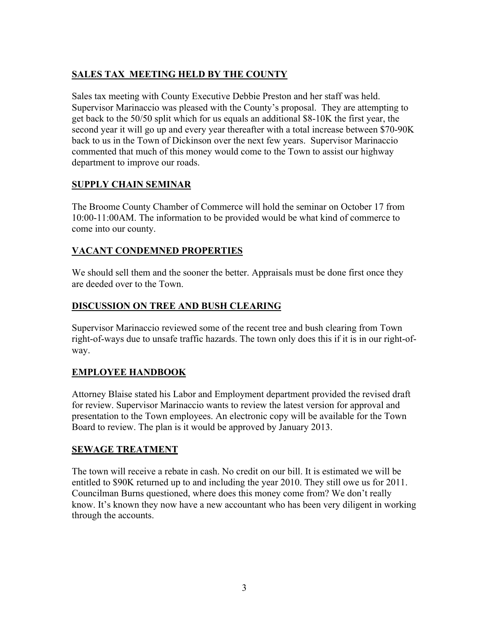# **SALES TAX MEETING HELD BY THE COUNTY**

Sales tax meeting with County Executive Debbie Preston and her staff was held. Supervisor Marinaccio was pleased with the County's proposal. They are attempting to get back to the 50/50 split which for us equals an additional \$8-10K the first year, the second year it will go up and every year thereafter with a total increase between \$70-90K back to us in the Town of Dickinson over the next few years. Supervisor Marinaccio commented that much of this money would come to the Town to assist our highway department to improve our roads.

## **SUPPLY CHAIN SEMINAR**

The Broome County Chamber of Commerce will hold the seminar on October 17 from 10:00-11:00AM. The information to be provided would be what kind of commerce to come into our county.

### **VACANT CONDEMNED PROPERTIES**

We should sell them and the sooner the better. Appraisals must be done first once they are deeded over to the Town.

### **DISCUSSION ON TREE AND BUSH CLEARING**

Supervisor Marinaccio reviewed some of the recent tree and bush clearing from Town right-of-ways due to unsafe traffic hazards. The town only does this if it is in our right-ofway.

# **EMPLOYEE HANDBOOK**

Attorney Blaise stated his Labor and Employment department provided the revised draft for review. Supervisor Marinaccio wants to review the latest version for approval and presentation to the Town employees. An electronic copy will be available for the Town Board to review. The plan is it would be approved by January 2013.

### **SEWAGE TREATMENT**

The town will receive a rebate in cash. No credit on our bill. It is estimated we will be entitled to \$90K returned up to and including the year 2010. They still owe us for 2011. Councilman Burns questioned, where does this money come from? We don't really know. It's known they now have a new accountant who has been very diligent in working through the accounts.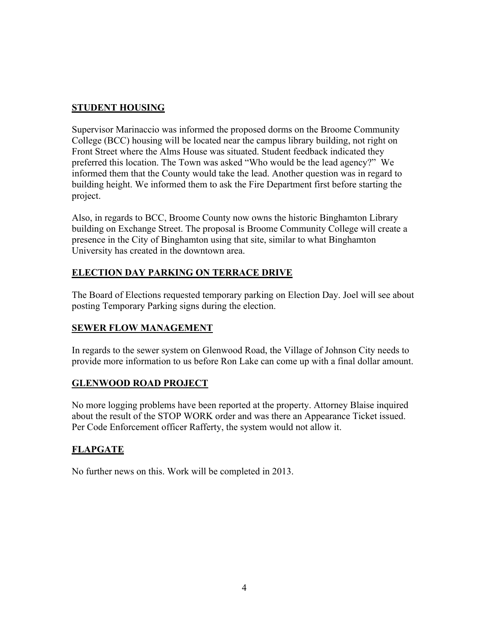### **STUDENT HOUSING**

Supervisor Marinaccio was informed the proposed dorms on the Broome Community College (BCC) housing will be located near the campus library building, not right on Front Street where the Alms House was situated. Student feedback indicated they preferred this location. The Town was asked "Who would be the lead agency?" We informed them that the County would take the lead. Another question was in regard to building height. We informed them to ask the Fire Department first before starting the project.

Also, in regards to BCC, Broome County now owns the historic Binghamton Library building on Exchange Street. The proposal is Broome Community College will create a presence in the City of Binghamton using that site, similar to what Binghamton University has created in the downtown area.

# **ELECTION DAY PARKING ON TERRACE DRIVE**

The Board of Elections requested temporary parking on Election Day. Joel will see about posting Temporary Parking signs during the election.

# **SEWER FLOW MANAGEMENT**

In regards to the sewer system on Glenwood Road, the Village of Johnson City needs to provide more information to us before Ron Lake can come up with a final dollar amount.

### **GLENWOOD ROAD PROJECT**

No more logging problems have been reported at the property. Attorney Blaise inquired about the result of the STOP WORK order and was there an Appearance Ticket issued. Per Code Enforcement officer Rafferty, the system would not allow it.

# **FLAPGATE**

No further news on this. Work will be completed in 2013.